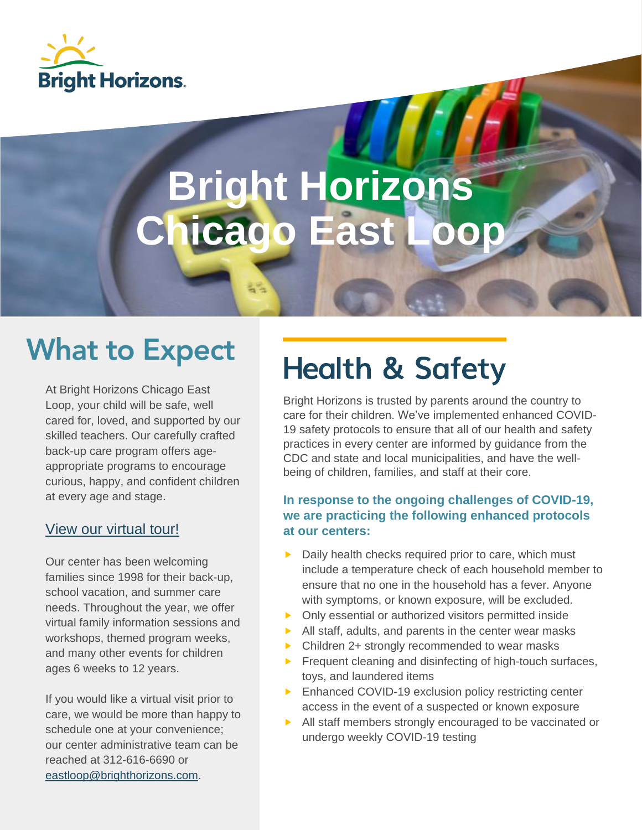

# **Bright Horizons icago East**

## **What to Expect**

At Bright Horizons Chicago East Loop, your child will be safe, well cared for, loved, and supported by our skilled teachers. Our carefully crafted back-up care program offers ageappropriate programs to encourage curious, happy, and confident children at every age and stage.

#### [View our virtual tour!](https://2300951-1.mediaspace.kaltura.com/media/Chicago_East_Loop/1_2p89x8oa?layout=basic)

Our center has been welcoming families since 1998 for their back-up, school vacation, and summer care needs. Throughout the year, we offer virtual family information sessions and workshops, themed program weeks, and many other events for children ages 6 weeks to 12 years.

If you would like a virtual visit prior to care, we would be more than happy to schedule one at your convenience; our center administrative team can be reached at 312-616-6690 or [eastloop@brighthorizons.com.](mailto:eastloop@brighthorizons.com)

# **Health & Safety**

Bright Horizons is trusted by parents around the country to care for their children. We've implemented enhanced COVID-19 safety protocols to ensure that all of our health and safety practices in every center are informed by guidance from the CDC and state and local municipalities, and have the wellbeing of children, families, and staff at their core.

#### **In response to the ongoing challenges of COVID-19, we are practicing the following enhanced protocols at our centers:**

- Daily health checks required prior to care, which must include a temperature check of each household member to ensure that no one in the household has a fever. Anyone with symptoms, or known exposure, will be excluded.
- Only essential or authorized visitors permitted inside
- $\blacktriangleright$  All staff, adults, and parents in the center wear masks
- ▶ Children 2+ strongly recommended to wear masks
- $\blacktriangleright$  Frequent cleaning and disinfecting of high-touch surfaces, toys, and laundered items
- **Enhanced COVID-19 exclusion policy restricting center** access in the event of a suspected or known exposure
- All staff members strongly encouraged to be vaccinated or undergo weekly COVID-19 testing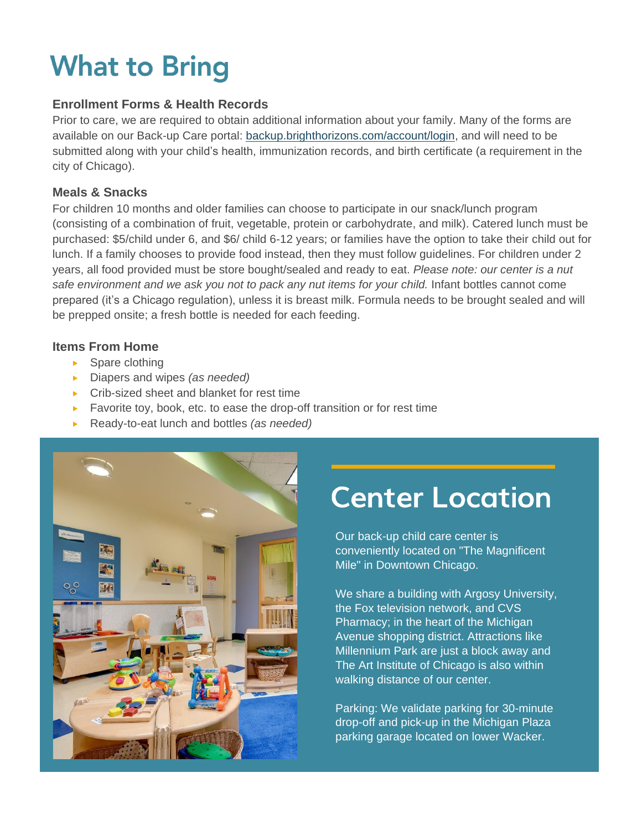## **What to Bring**

#### **Enrollment Forms & Health Records**

Prior to care, we are required to obtain additional information about your family. Many of the forms are available on our Back-up Care portal: [backup.brighthorizons.com/account/login,](https://backup.brighthorizons.com/Account/Login) and will need to be submitted along with your child's health, immunization records, and birth certificate (a requirement in the city of Chicago).

#### **Meals & Snacks**

For children 10 months and older families can choose to participate in our snack/lunch program (consisting of a combination of fruit, vegetable, protein or carbohydrate, and milk). Catered lunch must be purchased: \$5/child under 6, and \$6/ child 6-12 years; or families have the option to take their child out for lunch. If a family chooses to provide food instead, then they must follow guidelines. For children under 2 years, all food provided must be store bought/sealed and ready to eat. *Please note: our center is a nut safe environment and we ask you not to pack any nut items for your child.* Infant bottles cannot come prepared (it's a Chicago regulation), unless it is breast milk. Formula needs to be brought sealed and will be prepped onsite; a fresh bottle is needed for each feeding.

#### **Items From Home**

- $\blacktriangleright$  Spare clothing
- Diapers and wipes *(as needed)*
- ▶ Crib-sized sheet and blanket for rest time
- Favorite toy, book, etc. to ease the drop-off transition or for rest time
- Ready-to-eat lunch and bottles *(as needed)*



### **Center Location**

Our back-up child care center is conveniently located on "The Magnificent Mile" in Downtown Chicago.

We share a building with Argosy University, the Fox television network, and CVS Pharmacy; in the heart of the Michigan Avenue shopping district. Attractions like Millennium Park are just a block away and The Art Institute of Chicago is also within walking distance of our center.

Parking: We validate parking for 30-minute drop-off and pick-up in the Michigan Plaza parking garage located on lower Wacker.